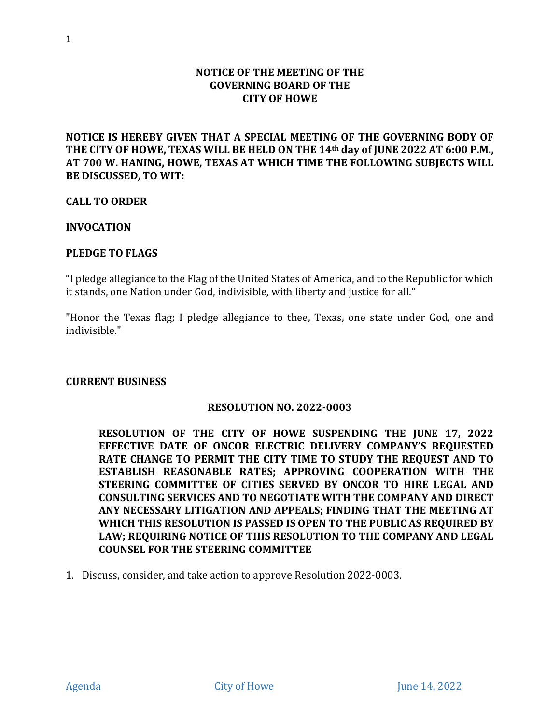## **NOTICE OF THE MEETING OF THE GOVERNING BOARD OF THE CITY OF HOWE**

**NOTICE IS HEREBY GIVEN THAT A SPECIAL MEETING OF THE GOVERNING BODY OF THE CITY OF HOWE, TEXAS WILL BE HELD ON THE 14th day of JUNE 2022 AT 6:00 P.M., AT 700 W. HANING, HOWE, TEXAS AT WHICH TIME THE FOLLOWING SUBJECTS WILL BE DISCUSSED, TO WIT:**

**CALL TO ORDER**

**INVOCATION**

#### **PLEDGE TO FLAGS**

"I pledge allegiance to the Flag of the United States of America, and to the Republic for which it stands, one Nation under God, indivisible, with liberty and justice for all."

"Honor the Texas flag; I pledge allegiance to thee, Texas, one state under God, one and indivisible."

#### **CURRENT BUSINESS**

### **RESOLUTION NO. 2022-0003**

**RESOLUTION OF THE CITY OF HOWE SUSPENDING THE JUNE 17, 2022 EFFECTIVE DATE OF ONCOR ELECTRIC DELIVERY COMPANY'S REQUESTED RATE CHANGE TO PERMIT THE CITY TIME TO STUDY THE REQUEST AND TO ESTABLISH REASONABLE RATES; APPROVING COOPERATION WITH THE STEERING COMMITTEE OF CITIES SERVED BY ONCOR TO HIRE LEGAL AND CONSULTING SERVICES AND TO NEGOTIATE WITH THE COMPANY AND DIRECT ANY NECESSARY LITIGATION AND APPEALS; FINDING THAT THE MEETING AT WHICH THIS RESOLUTION IS PASSED IS OPEN TO THE PUBLIC AS REQUIRED BY LAW; REQUIRING NOTICE OF THIS RESOLUTION TO THE COMPANY AND LEGAL COUNSEL FOR THE STEERING COMMITTEE**

1. Discuss, consider, and take action to approve Resolution 2022-0003.